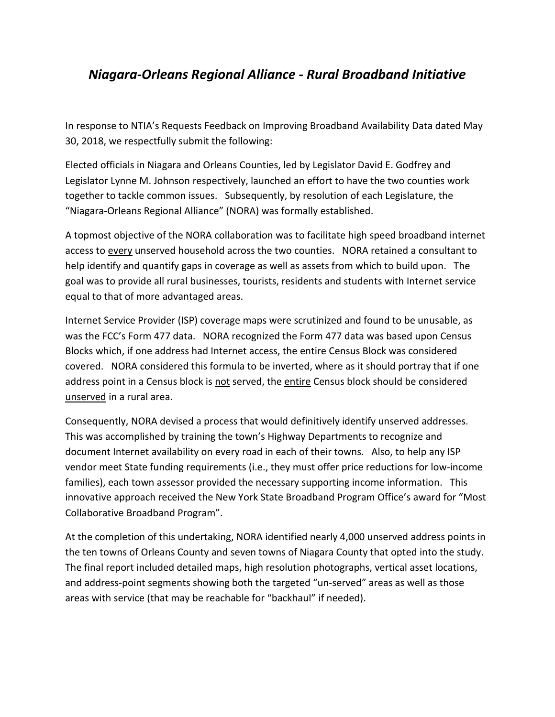## *Niagara-Orleans Regional Alliance - Rural Broadband Initiative*

In response to NTIA's Requests Feedback on Improving Broadband Availability Data dated May 30, 2018, we respectfully submit the following:

Elected officials in Niagara and Orleans Counties, led by Legislator David E. Godfrey and Legislator Lynne M. Johnson respectively, launched an effort to have the two counties work together to tackle common issues. Subsequently, by resolution of each Legislature, the "Niagara-Orleans Regional Alliance" (NORA) was formally established.

A topmost objective of the NORA collaboration was to facilitate high speed broadband internet access to every unserved household across the two counties. NORA retained a consultant to help identify and quantify gaps in coverage as well as assets from which to build upon. The goal was to provide all rural businesses, tourists, residents and students with Internet service equal to that of more advantaged areas.

Internet Service Provider (ISP) coverage maps were scrutinized and found to be unusable, as was the FCC's Form 477 data. NORA recognized the Form 477 data was based upon Census Blocks which, if one address had Internet access, the entire Census Block was considered covered. NORA considered this formula to be inverted, where as it should portray that if one address point in a Census block is not served, the entire Census block should be considered unserved in a rural area.

Consequently, NORA devised a process that would definitively identify unserved addresses. This was accomplished by training the town's Highway Departments to recognize and document Internet availability on every road in each of their towns. Also, to help any ISP vendor meet State funding requirements (i.e., they must offer price reductions for low-income families), each town assessor provided the necessary supporting income information. This innovative approach received the New York State Broadband Program Office's award for "Most Collaborative Broadband Program".

At the completion of this undertaking, NORA identified nearly 4,000 unserved address points in the ten towns of Orleans County and seven towns of Niagara County that opted into the study. The final report included detailed maps, high resolution photographs, vertical asset locations, and address-point segments showing both the targeted "un-served" areas as well as those areas with service (that may be reachable for "backhaul" if needed).